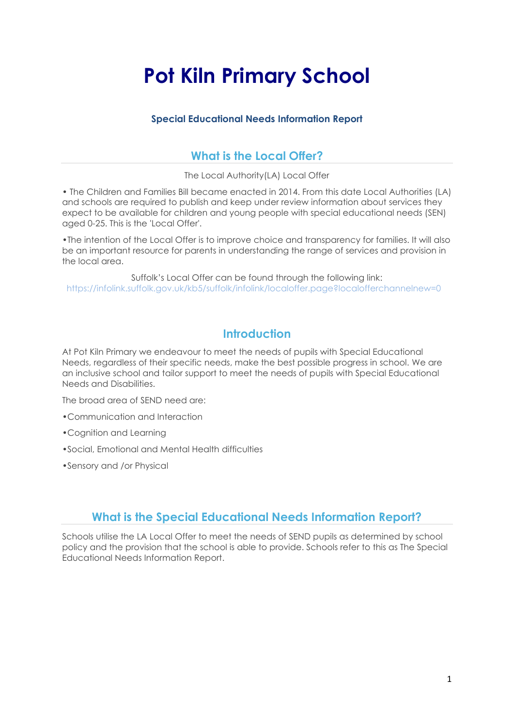# **Pot Kiln Primary School**

## **Special Educational Needs Information Report**

# **What is the Local Offer?**

The Local Authority(LA) Local Offer

• The Children and Families Bill became enacted in 2014. From this date Local Authorities (LA) and schools are required to publish and keep under review information about services they expect to be available for children and young people with special educational needs (SEN) aged 0-25. This is the 'Local Offer'.

•The intention of the Local Offer is to improve choice and transparency for families. It will also be an important resource for parents in understanding the range of services and provision in the local area.

Suffolk's Local Offer can be found through the following link: https://infolink.suffolk.gov.uk/kb5/suffolk/infolink/localoffer.page?localofferchannelnew=0

## **Introduction**

At Pot Kiln Primary we endeavour to meet the needs of pupils with Special Educational Needs, regardless of their specific needs, make the best possible progress in school. We are an inclusive school and tailor support to meet the needs of pupils with Special Educational Needs and Disabilities.

The broad area of SEND need are:

- •Communication and Interaction
- •Cognition and Learning
- •Social, Emotional and Mental Health difficulties
- •Sensory and /or Physical

# **What is the Special Educational Needs Information Report?**

Schools utilise the LA Local Offer to meet the needs of SEND pupils as determined by school policy and the provision that the school is able to provide. Schools refer to this as The Special Educational Needs Information Report.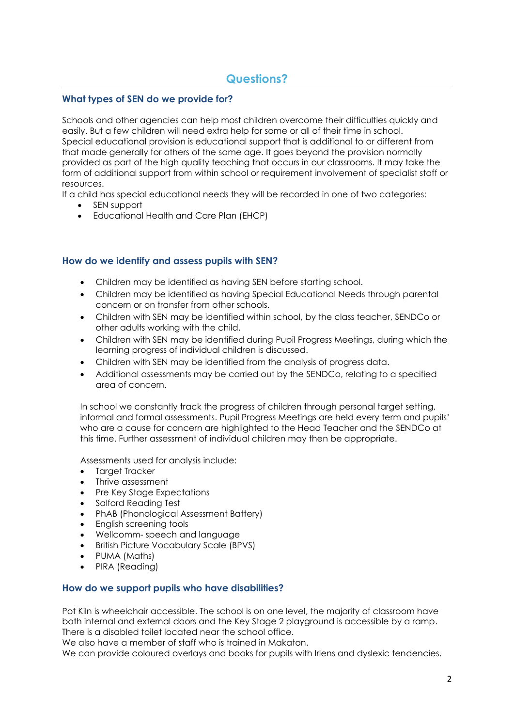## **What types of SEN do we provide for?**

Schools and other agencies can help most children overcome their difficulties quickly and easily. But a few children will need extra help for some or all of their time in school. Special educational provision is educational support that is additional to or different from that made generally for others of the same age. It goes beyond the provision normally provided as part of the high quality teaching that occurs in our classrooms. It may take the form of additional support from within school or requirement involvement of specialist staff or resources.

If a child has special educational needs they will be recorded in one of two categories:

- SEN support
- Educational Health and Care Plan (EHCP)

## **How do we identify and assess pupils with SEN?**

- Children may be identified as having SEN before starting school.
- Children may be identified as having Special Educational Needs through parental concern or on transfer from other schools.
- Children with SEN may be identified within school, by the class teacher, SENDCo or other adults working with the child.
- Children with SEN may be identified during Pupil Progress Meetings, during which the learning progress of individual children is discussed.
- Children with SEN may be identified from the analysis of progress data.
- Additional assessments may be carried out by the SENDCo, relating to a specified area of concern.

In school we constantly track the progress of children through personal target setting, informal and formal assessments. Pupil Progress Meetings are held every term and pupils' who are a cause for concern are highlighted to the Head Teacher and the SENDCo at this time. Further assessment of individual children may then be appropriate.

Assessments used for analysis include:

- Target Tracker
- Thrive assessment
- Pre Key Stage Expectations
- Salford Reading Test
- PhAB (Phonological Assessment Battery)
- English screening tools
- Wellcomm- speech and language
- British Picture Vocabulary Scale (BPVS)
- PUMA (Maths)
- PIRA (Reading)

## **How do we support pupils who have disabilities?**

Pot Kiln is wheelchair accessible. The school is on one level, the majority of classroom have both internal and external doors and the Key Stage 2 playground is accessible by a ramp. There is a disabled toilet located near the school office.

We also have a member of staff who is trained in Makaton.

We can provide coloured overlays and books for pupils with Irlens and dyslexic tendencies.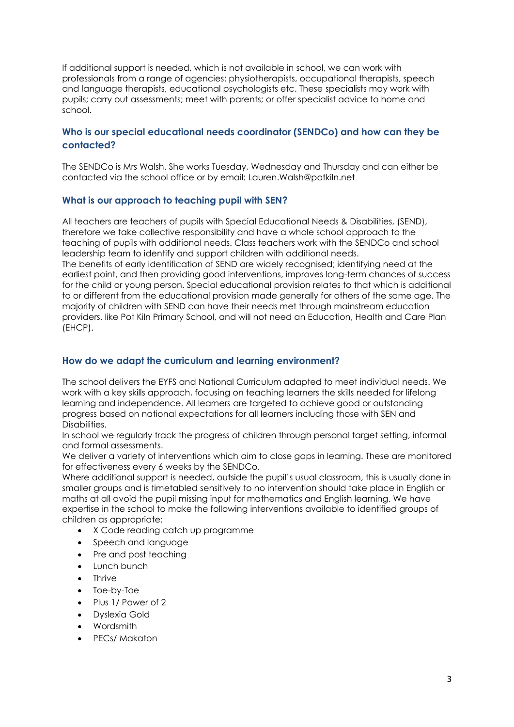If additional support is needed, which is not available in school, we can work with professionals from a range of agencies: physiotherapists, occupational therapists, speech and language therapists, educational psychologists etc. These specialists may work with pupils; carry out assessments; meet with parents; or offer specialist advice to home and school.

## **Who is our special educational needs coordinator (SENDCo) and how can they be contacted?**

The SENDCo is Mrs Walsh. She works Tuesday, Wednesday and Thursday and can either be contacted via the school office or by email: Lauren.Walsh@potkiln.net

## **What is our approach to teaching pupil with SEN?**

All teachers are teachers of pupils with Special Educational Needs & Disabilities, (SEND), therefore we take collective responsibility and have a whole school approach to the teaching of pupils with additional needs. Class teachers work with the SENDCo and school leadership team to identify and support children with additional needs.

The benefits of early identification of SEND are widely recognised; identifying need at the earliest point, and then providing good interventions, improves long-term chances of success for the child or young person. Special educational provision relates to that which is additional to or different from the educational provision made generally for others of the same age. The majority of children with SEND can have their needs met through mainstream education providers, like Pot Kiln Primary School, and will not need an Education, Health and Care Plan (EHCP).

## **How do we adapt the curriculum and learning environment?**

The school delivers the EYFS and National Curriculum adapted to meet individual needs. We work with a key skills approach, focusing on teaching learners the skills needed for lifelong learning and independence. All learners are targeted to achieve good or outstanding progress based on national expectations for all learners including those with SEN and Disabilities.

In school we regularly track the progress of children through personal target setting, informal and formal assessments.

We deliver a variety of interventions which aim to close gaps in learning. These are monitored for effectiveness every 6 weeks by the SENDCo.

Where additional support is needed, outside the pupil's usual classroom, this is usually done in smaller groups and is timetabled sensitively to no intervention should take place in English or maths at all avoid the pupil missing input for mathematics and English learning. We have expertise in the school to make the following interventions available to identified groups of children as appropriate:

- X Code reading catch up programme
- Speech and language
- Pre and post teaching
- Lunch bunch
- Thrive
- Toe-by-Toe
- Plus 1/ Power of 2
- Dyslexia Gold
- Wordsmith
- PECs/ Makaton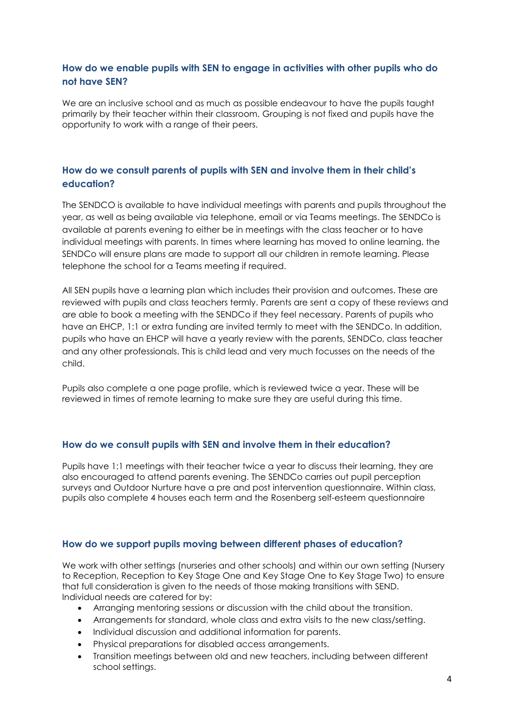## **How do we enable pupils with SEN to engage in activities with other pupils who do not have SEN?**

We are an inclusive school and as much as possible endeavour to have the pupils taught primarily by their teacher within their classroom. Grouping is not fixed and pupils have the opportunity to work with a range of their peers.

## **How do we consult parents of pupils with SEN and involve them in their child's education?**

The SENDCO is available to have individual meetings with parents and pupils throughout the year, as well as being available via telephone, email or via Teams meetings. The SENDCo is available at parents evening to either be in meetings with the class teacher or to have individual meetings with parents. In times where learning has moved to online learning, the SENDCo will ensure plans are made to support all our children in remote learning. Please telephone the school for a Teams meeting if required.

All SEN pupils have a learning plan which includes their provision and outcomes. These are reviewed with pupils and class teachers termly. Parents are sent a copy of these reviews and are able to book a meeting with the SENDCo if they feel necessary. Parents of pupils who have an EHCP, 1:1 or extra funding are invited termly to meet with the SENDCo. In addition, pupils who have an EHCP will have a yearly review with the parents, SENDCo, class teacher and any other professionals. This is child lead and very much focusses on the needs of the child.

Pupils also complete a one page profile, which is reviewed twice a year. These will be reviewed in times of remote learning to make sure they are useful during this time.

## **How do we consult pupils with SEN and involve them in their education?**

Pupils have 1:1 meetings with their teacher twice a year to discuss their learning, they are also encouraged to attend parents evening. The SENDCo carries out pupil perception surveys and Outdoor Nurture have a pre and post intervention questionnaire. Within class, pupils also complete 4 houses each term and the Rosenberg self-esteem questionnaire

## **How do we support pupils moving between different phases of education?**

We work with other settings (nurseries and other schools) and within our own setting (Nursery to Reception, Reception to Key Stage One and Key Stage One to Key Stage Two) to ensure that full consideration is given to the needs of those making transitions with SEND. Individual needs are catered for by:

- Arranging mentoring sessions or discussion with the child about the transition.
- Arrangements for standard, whole class and extra visits to the new class/setting.
- Individual discussion and additional information for parents.
- Physical preparations for disabled access arrangements.
- Transition meetings between old and new teachers, including between different school settings.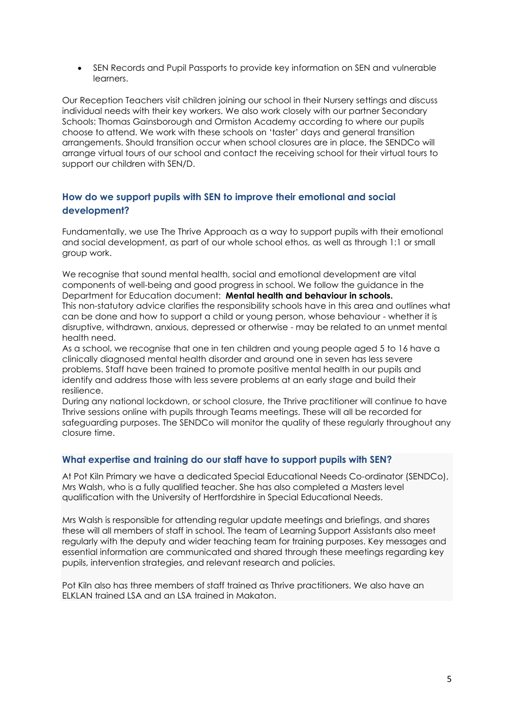• SEN Records and Pupil Passports to provide key information on SEN and vulnerable learners.

Our Reception Teachers visit children joining our school in their Nursery settings and discuss individual needs with their key workers. We also work closely with our partner Secondary Schools: Thomas Gainsborough and Ormiston Academy according to where our pupils choose to attend. We work with these schools on 'taster' days and general transition arrangements. Should transition occur when school closures are in place, the SENDCo will arrange virtual tours of our school and contact the receiving school for their virtual tours to support our children with SEN/D.

## **How do we support pupils with SEN to improve their emotional and social development?**

Fundamentally, we use The Thrive Approach as a way to support pupils with their emotional and social development, as part of our whole school ethos, as well as through 1:1 or small group work.

We recognise that sound mental health, social and emotional development are vital components of well-being and good progress in school. We follow the guidance in the Department for Education document: **Mental health and behaviour in schools.**  This non-statutory advice clarifies the responsibility schools have in this area and outlines what can be done and how to support a child or young person, whose behaviour - whether it is disruptive, withdrawn, anxious, depressed or otherwise - may be related to an unmet mental health need.

As a school, we recognise that one in ten children and young people aged 5 to 16 have a clinically diagnosed mental health disorder and around one in seven has less severe problems. Staff have been trained to promote positive mental health in our pupils and identify and address those with less severe problems at an early stage and build their resilience.

During any national lockdown, or school closure, the Thrive practitioner will continue to have Thrive sessions online with pupils through Teams meetings. These will all be recorded for safeguarding purposes. The SENDCo will monitor the quality of these regularly throughout any closure time.

## **What expertise and training do our staff have to support pupils with SEN?**

At Pot Kiln Primary we have a dedicated Special Educational Needs Co-ordinator (SENDCo), Mrs Walsh, who is a fully qualified teacher. She has also completed a Masters level qualification with the University of Hertfordshire in Special Educational Needs.

Mrs Walsh is responsible for attending regular update meetings and briefings, and shares these will all members of staff in school. The team of Learning Support Assistants also meet regularly with the deputy and wider teaching team for training purposes. Key messages and essential information are communicated and shared through these meetings regarding key pupils, intervention strategies, and relevant research and policies.

Pot Kiln also has three members of staff trained as Thrive practitioners. We also have an ELKLAN trained LSA and an LSA trained in Makaton.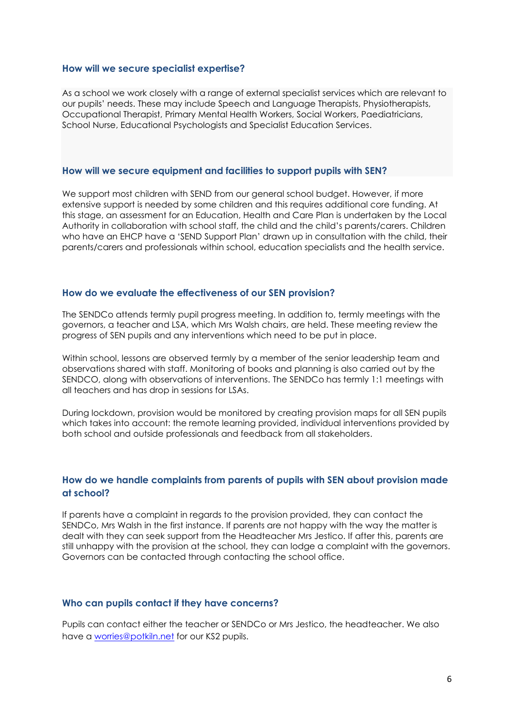#### **How will we secure specialist expertise?**

As a school we work closely with a range of external specialist services which are relevant to our pupils' needs. These may include Speech and Language Therapists, Physiotherapists, Occupational Therapist, Primary Mental Health Workers, Social Workers, Paediatricians, School Nurse, Educational Psychologists and Specialist Education Services.

#### **How will we secure equipment and facilities to support pupils with SEN?**

We support most children with SEND from our general school budget. However, if more extensive support is needed by some children and this requires additional core funding. At this stage, an assessment for an Education, Health and Care Plan is undertaken by the Local Authority in collaboration with school staff, the child and the child's parents/carers. Children who have an EHCP have a 'SEND Support Plan' drawn up in consultation with the child, their parents/carers and professionals within school, education specialists and the health service.

#### **How do we evaluate the effectiveness of our SEN provision?**

The SENDCo attends termly pupil progress meeting. In addition to, termly meetings with the governors, a teacher and LSA, which Mrs Walsh chairs, are held. These meeting review the progress of SEN pupils and any interventions which need to be put in place.

Within school, lessons are observed termly by a member of the senior leadership team and observations shared with staff. Monitoring of books and planning is also carried out by the SENDCO, along with observations of interventions. The SENDCo has termly 1:1 meetings with all teachers and has drop in sessions for LSAs.

During lockdown, provision would be monitored by creating provision maps for all SEN pupils which takes into account: the remote learning provided, individual interventions provided by both school and outside professionals and feedback from all stakeholders.

## **How do we handle complaints from parents of pupils with SEN about provision made at school?**

If parents have a complaint in regards to the provision provided, they can contact the SENDCo, Mrs Walsh in the first instance. If parents are not happy with the way the matter is dealt with they can seek support from the Headteacher Mrs Jestico. If after this, parents are still unhappy with the provision at the school, they can lodge a complaint with the governors. Governors can be contacted through contacting the school office.

#### **Who can pupils contact if they have concerns?**

Pupils can contact either the teacher or SENDCo or Mrs Jestico, the headteacher. We also have a [worries@potkiln.net](mailto:worries@potkiln.net) for our KS2 pupils.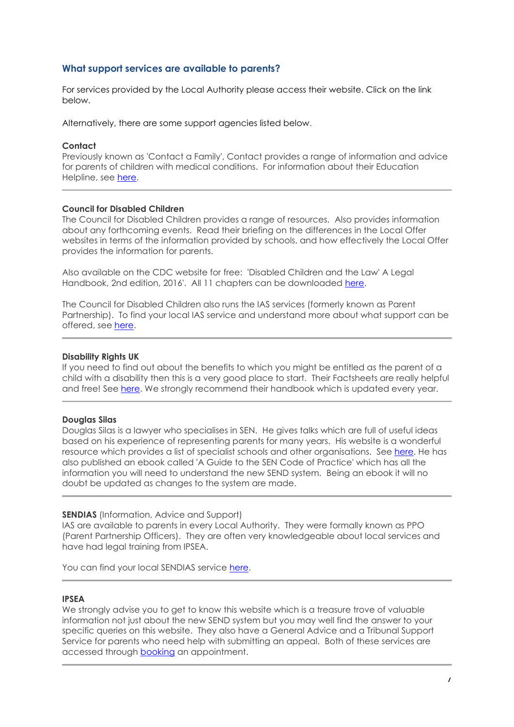### **What support services are available to parents?**

For services provided by the Local Authority please access their website. Click on the link below.

Alternatively, there are some support agencies listed below.

#### **Contact**

Previously known as 'Contact a Family', Contact provides a range of information and advice for parents of children with medical conditions. For information about their Education Helpline, see [here.](https://contact.org.uk/advice-and-support/)

#### **Council for Disabled Children**

The Council for Disabled Children provides a range of resources. Also provides information about any forthcoming events. Read their briefing on the differences in the Local Offer websites in terms of the information provided by schools, and how effectively the Local Offer provides the information for parents.

Also available on the CDC website for free: 'Disabled Children and the Law' A Legal Handbook, 2nd edition, 2016'. All 11 chapters can be downloaded [here.](https://councilfordisabledchildren.org.uk/help-resources/resources/disabled-children-legal-handbook-2nd-edition)

The Council for Disabled Children also runs the IAS services (formerly known as Parent Partnership). To find your local IAS service and understand more about what support can be offered, see [here.](https://councilfordisabledchildren.org.uk/information-advice-and-support-services-network/about)

#### **Disability Rights UK**

If you need to find out about the benefits to which you might be entitled as the parent of a child with a disability then this is a very good place to start. Their Factsheets are really helpful and free! See [here.](https://www.disabilityrightsuk.org/how-we-can-help/benefits-information/factsheets) We strongly recommend their handbook which is updated every year.

#### **Douglas Silas**

Douglas Silas is a lawyer who specialises in SEN. He gives talks which are full of useful ideas based on his experience of representing parents for many years. His website is a wonderful resource which provides a list of specialist schools and other organisations. See [here.](https://www.specialeducationalneeds.co.uk/seneducation-info.html) He has also published an ebook called 'A Guide to the SEN Code of Practice' which has all the information you will need to understand the new SEND system. Being an ebook it will no doubt be updated as changes to the system are made.

#### **SENDIAS** (Information, Advice and Support)

IAS are available to parents in every Local Authority. They were formally known as PPO (Parent Partnership Officers). They are often very knowledgeable about local services and have had legal training from IPSEA.

You can find your local SENDIAS service [here.](https://councilfordisabledchildren.org.uk/information-advice-and-support-services-network/frequently-asked-questions/parents)

#### **IPSEA**

We strongly advise you to get to know this website which is a treasure trove of valuable information not just about the new SEND system but you may well find the answer to your specific queries on this website. They also have a General Advice and a Tribunal Support Service for parents who need help with submitting an appeal. Both of these services are accessed through [booking](https://www.ipsea.org.uk/contact/advice-and-support) an appointment.